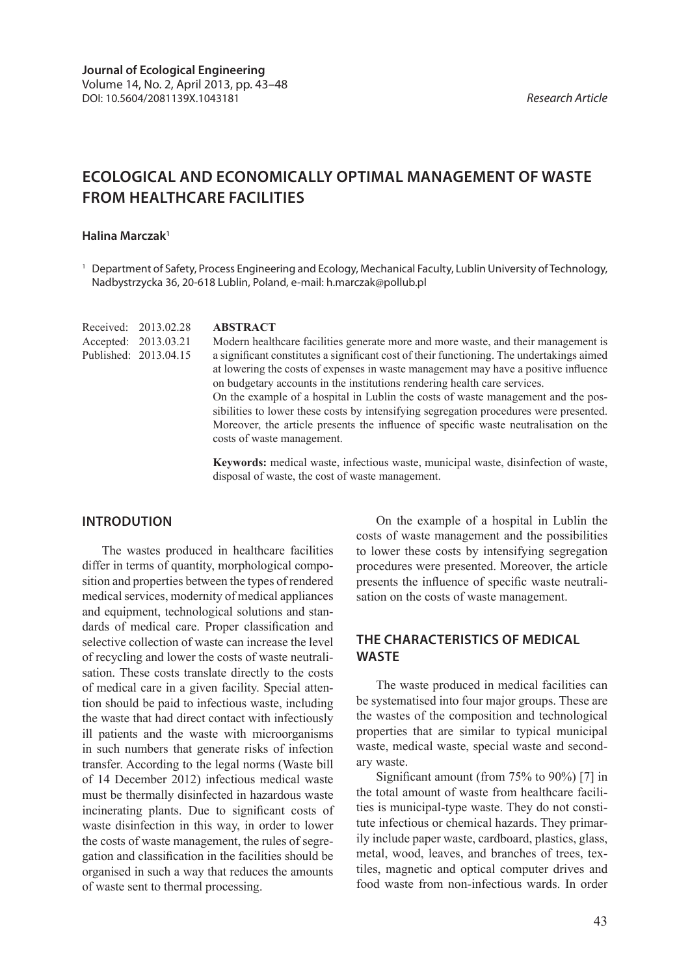# **Ecological and economically optimal management of waste from healthcare facilities**

## **Halina Marczak1**

<sup>1</sup> Department of Safety, Process Engineering and Ecology, Mechanical Faculty, Lublin University of Technology, Nadbystrzycka 36, 20-618 Lublin, Poland, e-mail: h.marczak@pollub.pl

|  | Received: 2013.02.28  | <b>ABSTRACT</b>                                                                                                                                                             |
|--|-----------------------|-----------------------------------------------------------------------------------------------------------------------------------------------------------------------------|
|  | Accepted: 2013.03.21  | Modern healthcare facilities generate more and more waste, and their management is                                                                                          |
|  | Published: 2013.04.15 | a significant constitutes a significant cost of their functioning. The undertakings aimed                                                                                   |
|  |                       | at lowering the costs of expenses in waste management may have a positive influence                                                                                         |
|  |                       | on budgetary accounts in the institutions rendering health care services.                                                                                                   |
|  |                       | On the example of a hospital in Lublin the costs of waste management and the pos-<br>sibilities to lower these costs by intensifying segregation procedures were presented. |
|  |                       | Moreover, the article presents the influence of specific waste neutralisation on the<br>costs of waste management.                                                          |
|  |                       |                                                                                                                                                                             |

**Keywords:** medical waste, infectious waste, municipal waste, disinfection of waste, disposal of waste, the cost of waste management.

#### **Introdution**

The wastes produced in healthcare facilities differ in terms of quantity, morphological composition and properties between the types of rendered medical services, modernity of medical appliances and equipment, technological solutions and standards of medical care. Proper classification and selective collection of waste can increase the level of recycling and lower the costs of waste neutralisation. These costs translate directly to the costs of medical care in a given facility. Special attention should be paid to infectious waste, including the waste that had direct contact with infectiously ill patients and the waste with microorganisms in such numbers that generate risks of infection transfer. According to the legal norms (Waste bill of 14 December 2012) infectious medical waste must be thermally disinfected in hazardous waste incinerating plants. Due to significant costs of waste disinfection in this way, in order to lower the costs of waste management, the rules of segregation and classification in the facilities should be organised in such a way that reduces the amounts of waste sent to thermal processing.

On the example of a hospital in Lublin the costs of waste management and the possibilities to lower these costs by intensifying segregation procedures were presented. Moreover, the article presents the influence of specific waste neutralisation on the costs of waste management.

## **The characteristics of medical waste**

The waste produced in medical facilities can be systematised into four major groups. These are the wastes of the composition and technological properties that are similar to typical municipal waste, medical waste, special waste and secondary waste.

Significant amount (from 75% to 90%) [7] in the total amount of waste from healthcare facilities is municipal-type waste. They do not constitute infectious or chemical hazards. They primarily include paper waste, cardboard, plastics, glass, metal, wood, leaves, and branches of trees, textiles, magnetic and optical computer drives and food waste from non-infectious wards. In order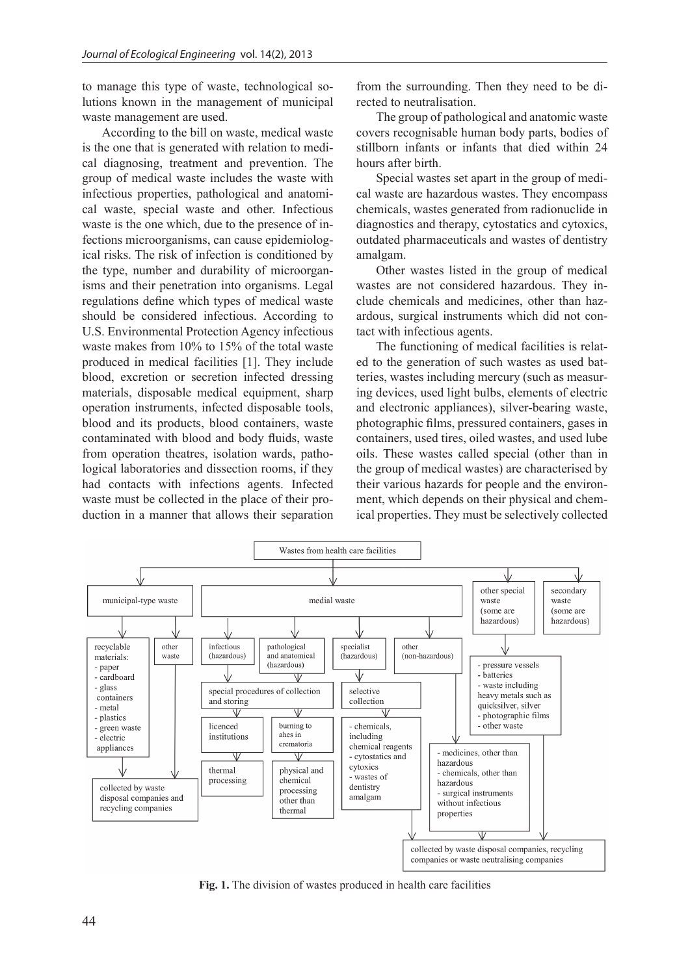to manage this type of waste, technological solutions known in the management of municipal waste management are used.

According to the bill on waste, medical waste is the one that is generated with relation to medical diagnosing, treatment and prevention. The group of medical waste includes the waste with infectious properties, pathological and anatomical waste, special waste and other. Infectious waste is the one which, due to the presence of infections microorganisms, can cause epidemiological risks. The risk of infection is conditioned by the type, number and durability of microorganisms and their penetration into organisms. Legal regulations define which types of medical waste should be considered infectious. According to U.S. Environmental Protection Agency infectious waste makes from 10% to 15% of the total waste produced in medical facilities [1]. They include blood, excretion or secretion infected dressing materials, disposable medical equipment, sharp operation instruments, infected disposable tools, blood and its products, blood containers, waste contaminated with blood and body fluids, waste from operation theatres, isolation wards, pathological laboratories and dissection rooms, if they had contacts with infections agents. Infected waste must be collected in the place of their production in a manner that allows their separation

from the surrounding. Then they need to be directed to neutralisation.

The group of pathological and anatomic waste covers recognisable human body parts, bodies of stillborn infants or infants that died within 24 hours after birth.

Special wastes set apart in the group of medical waste are hazardous wastes. They encompass chemicals, wastes generated from radionuclide in diagnostics and therapy, cytostatics and cytoxics, outdated pharmaceuticals and wastes of dentistry amalgam.

Other wastes listed in the group of medical wastes are not considered hazardous. They include chemicals and medicines, other than hazardous, surgical instruments which did not contact with infectious agents.

The functioning of medical facilities is related to the generation of such wastes as used batteries, wastes including mercury (such as measuring devices, used light bulbs, elements of electric and electronic appliances), silver-bearing waste, photographic films, pressured containers, gases in containers, used tires, oiled wastes, and used lube oils. These wastes called special (other than in the group of medical wastes) are characterised by their various hazards for people and the environment, which depends on their physical and chemical properties. They must be selectively collected



**Fig. 1.** The division of wastes produced in health care facilities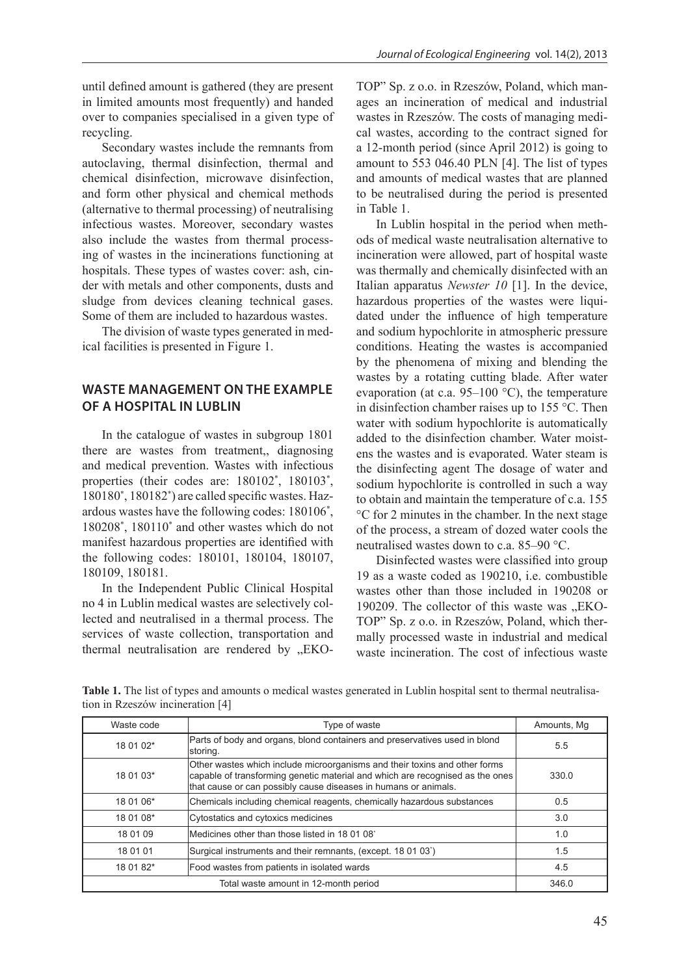until defined amount is gathered (they are present in limited amounts most frequently) and handed over to companies specialised in a given type of recycling.

Secondary wastes include the remnants from autoclaving, thermal disinfection, thermal and chemical disinfection, microwave disinfection, and form other physical and chemical methods (alternative to thermal processing) of neutralising infectious wastes. Moreover, secondary wastes also include the wastes from thermal processing of wastes in the incinerations functioning at hospitals. These types of wastes cover: ash, cinder with metals and other components, dusts and sludge from devices cleaning technical gases. Some of them are included to hazardous wastes.

The division of waste types generated in medical facilities is presented in Figure 1.

## **Waste management on the example of a hospital in Lublin**

In the catalogue of wastes in subgroup 1801 there are wastes from treatment,, diagnosing and medical prevention. Wastes with infectious properties (their codes are: 180102<sup>\*</sup>, 180103<sup>\*</sup>, 180180\* , 180182\* ) are called specific wastes. Hazardous wastes have the following codes: 180106\* , 180208\* , 180110\* and other wastes which do not manifest hazardous properties are identified with the following codes: 180101, 180104, 180107, 180109, 180181.

In the Independent Public Clinical Hospital no 4 in Lublin medical wastes are selectively collected and neutralised in a thermal process. The services of waste collection, transportation and thermal neutralisation are rendered by "EKO- TOP" Sp. z o.o. in Rzeszów, Poland, which manages an incineration of medical and industrial wastes in Rzeszów. The costs of managing medical wastes, according to the contract signed for a 12-month period (since April 2012) is going to amount to 553 046.40 PLN [4]. The list of types and amounts of medical wastes that are planned to be neutralised during the period is presented in Table 1.

In Lublin hospital in the period when methods of medical waste neutralisation alternative to incineration were allowed, part of hospital waste was thermally and chemically disinfected with an Italian apparatus *Newster 10* [1]. In the device, hazardous properties of the wastes were liquidated under the influence of high temperature and sodium hypochlorite in atmospheric pressure conditions. Heating the wastes is accompanied by the phenomena of mixing and blending the wastes by a rotating cutting blade. After water evaporation (at c.a.  $95-100$  °C), the temperature in disinfection chamber raises up to 155 °C. Then water with sodium hypochlorite is automatically added to the disinfection chamber. Water moistens the wastes and is evaporated. Water steam is the disinfecting agent The dosage of water and sodium hypochlorite is controlled in such a way to obtain and maintain the temperature of c.a. 155 °C for 2 minutes in the chamber. In the next stage of the process, a stream of dozed water cools the neutralised wastes down to c.a. 85–90 °C.

Disinfected wastes were classified into group 19 as a waste coded as 190210, i.e. combustible wastes other than those included in 190208 or 190209. The collector of this waste was ..EKO-TOP" Sp. z o.o. in Rzeszów, Poland, which thermally processed waste in industrial and medical waste incineration. The cost of infectious waste

Table 1. The list of types and amounts o medical wastes generated in Lublin hospital sent to thermal neutralisation in Rzeszów incineration [4]

| Waste code | Type of waste                                                                                                                                                                                                                  | Amounts, Mg |
|------------|--------------------------------------------------------------------------------------------------------------------------------------------------------------------------------------------------------------------------------|-------------|
| 18 01 02*  | Parts of body and organs, blond containers and preservatives used in blond<br>storing.                                                                                                                                         | 5.5         |
| 18 01 03*  | Other wastes which include microorganisms and their toxins and other forms<br>capable of transforming genetic material and which are recognised as the ones<br>that cause or can possibly cause diseases in humans or animals. | 330.0       |
| 18 01 06*  | Chemicals including chemical reagents, chemically hazardous substances                                                                                                                                                         | 0.5         |
| 18 01 08*  | Cytostatics and cytoxics medicines                                                                                                                                                                                             | 3.0         |
| 18 01 09   | Medicines other than those listed in 18 01 08*                                                                                                                                                                                 | 1.0         |
| 18 01 01   | Surgical instruments and their remnants, (except. 18 01 03')                                                                                                                                                                   | 1.5         |
| 18 01 82*  | Food wastes from patients in isolated wards                                                                                                                                                                                    | 4.5         |
|            | 346.0                                                                                                                                                                                                                          |             |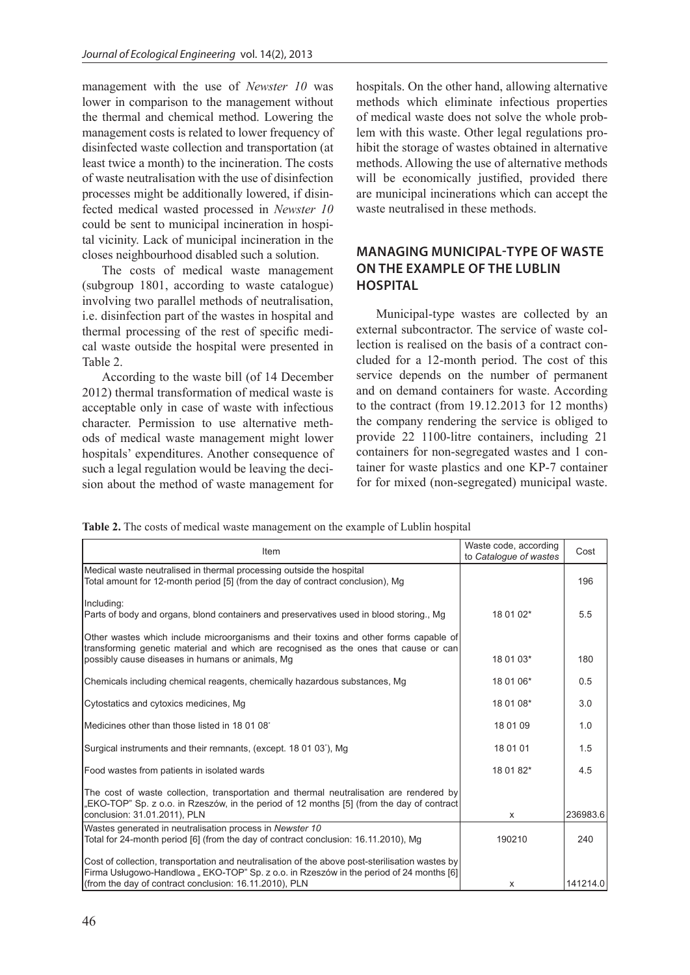management with the use of *Newster 10* was lower in comparison to the management without the thermal and chemical method. Lowering the management costs is related to lower frequency of disinfected waste collection and transportation (at least twice a month) to the incineration. The costs of waste neutralisation with the use of disinfection processes might be additionally lowered, if disinfected medical wasted processed in *Newster 10* could be sent to municipal incineration in hospital vicinity. Lack of municipal incineration in the closes neighbourhood disabled such a solution.

The costs of medical waste management (subgroup 1801, according to waste catalogue) involving two parallel methods of neutralisation, i.e. disinfection part of the wastes in hospital and thermal processing of the rest of specific medical waste outside the hospital were presented in Table 2.

According to the waste bill (of 14 December 2012) thermal transformation of medical waste is acceptable only in case of waste with infectious character. Permission to use alternative methods of medical waste management might lower hospitals' expenditures. Another consequence of such a legal regulation would be leaving the decision about the method of waste management for hospitals. On the other hand, allowing alternative methods which eliminate infectious properties of medical waste does not solve the whole problem with this waste. Other legal regulations prohibit the storage of wastes obtained in alternative methods. Allowing the use of alternative methods will be economically justified, provided there are municipal incinerations which can accept the waste neutralised in these methods.

# **Managing municipal-type of waste on the example of the Lublin hospital**

Municipal-type wastes are collected by an external subcontractor. The service of waste collection is realised on the basis of a contract concluded for a 12-month period. The cost of this service depends on the number of permanent and on demand containers for waste. According to the contract (from 19.12.2013 for 12 months) the company rendering the service is obliged to provide 22 1100-litre containers, including 21 containers for non-segregated wastes and 1 container for waste plastics and one KP-7 container for for mixed (non-segregated) municipal waste.

**Table 2.** The costs of medical waste management on the example of Lublin hospital

| Item                                                                                                                                                                                      | Waste code, according<br>to Catalogue of wastes | Cost     |
|-------------------------------------------------------------------------------------------------------------------------------------------------------------------------------------------|-------------------------------------------------|----------|
| Medical waste neutralised in thermal processing outside the hospital<br>Total amount for 12-month period [5] (from the day of contract conclusion), Mg                                    |                                                 | 196      |
| Including:<br>Parts of body and organs, blond containers and preservatives used in blood storing., Mg                                                                                     | 18 01 02*                                       | 5.5      |
| Other wastes which include microorganisms and their toxins and other forms capable of<br>transforming genetic material and which are recognised as the ones that cause or can             |                                                 |          |
| possibly cause diseases in humans or animals, Mg                                                                                                                                          | 18 01 03*                                       | 180      |
| Chemicals including chemical reagents, chemically hazardous substances, Mg                                                                                                                | 18 01 06*                                       | 0.5      |
| Cytostatics and cytoxics medicines, Mg                                                                                                                                                    | 18 01 08*                                       | 3.0      |
| Medicines other than those listed in 18 01 08*                                                                                                                                            | 18 01 09                                        | 1.0      |
| Surgical instruments and their remnants, (except. 18 01 03 <sup>*</sup> ), Mg                                                                                                             | 18 01 01                                        | 1.5      |
| Food wastes from patients in isolated wards                                                                                                                                               | 18 01 82*                                       | 4.5      |
| The cost of waste collection, transportation and thermal neutralisation are rendered by<br>"EKO-TOP" Sp. z o.o. in Rzeszów, in the period of 12 months [5] (from the day of contract      |                                                 |          |
| conclusion: 31.01.2011), PLN                                                                                                                                                              | X                                               | 236983.6 |
| Wastes generated in neutralisation process in Newster 10<br>Total for 24-month period [6] (from the day of contract conclusion: 16.11.2010), Mg                                           | 190210                                          | 240      |
| Cost of collection, transportation and neutralisation of the above post-sterilisation wastes by<br>[6] Firma Usługowo-Handlowa "EKO-TOP" Sp. z o.o. in Rzeszów in the period of 24 months |                                                 |          |
| (from the day of contract conclusion: 16.11.2010), PLN                                                                                                                                    | х                                               | 141214.0 |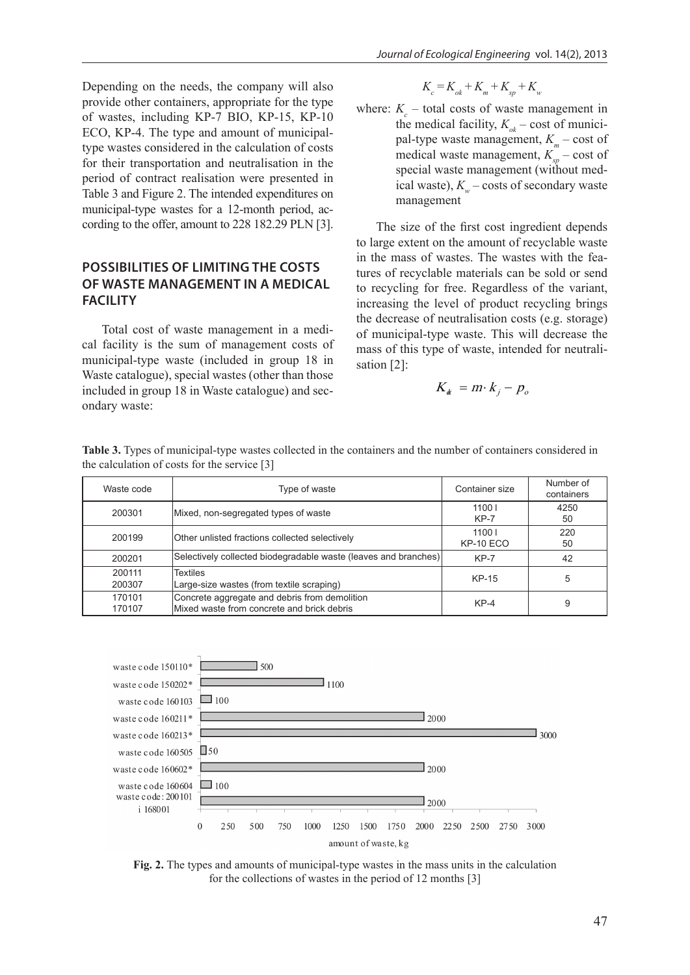Depending on the needs, the company will also provide other containers, appropriate for the type of wastes, including KP-7 BIO, KP-15, KP-10 ECO, KP-4. The type and amount of municipaltype wastes considered in the calculation of costs for their transportation and neutralisation in the period of contract realisation were presented in Table 3 and Figure 2. The intended expenditures on municipal-type wastes for a 12-month period, according to the offer, amount to 228 182.29 PLN [3].

# **Possibilities of limiting the costs of waste management in a medical facility**

Total cost of waste management in a medical facility is the sum of management costs of municipal-type waste (included in group 18 in Waste catalogue), special wastes (other than those included in group 18 in Waste catalogue) and secondary waste:

- $K_c = K_{ok} + K_m + K_{sn} + K_w$
- where:  $K_c$  total costs of waste management in the medical facility,  $K_{\alpha k}$  – cost of municipal-type waste management,  $K<sub>m</sub>$  – cost of medical waste management,  $K_{sp}^-$  – cost of special waste management (without medical waste),  $K_w$  – costs of secondary waste management

The size of the first cost ingredient depends to large extent on the amount of recyclable waste in the mass of wastes. The wastes with the features of recyclable materials can be sold or send to recycling for free. Regardless of the variant, increasing the level of product recycling brings the decrease of neutralisation costs (e.g. storage) of municipal-type waste. This will decrease the mass of this type of waste, intended for neutralisation [2]:

$$
K_{\alpha} = m \cdot k_j - p_o
$$

| Waste code       | Type of waste                                                                               | Container size     | Number of<br>containers |
|------------------|---------------------------------------------------------------------------------------------|--------------------|-------------------------|
| 200301           | Mixed, non-segregated types of waste                                                        | 11001<br>$KP-7$    | 4250<br>50              |
| 200199           | Other unlisted fractions collected selectively                                              | 11001<br>KP-10 ECO | 220<br>50               |
| 200201           | Selectively collected biodegradable waste (leaves and branches)                             | $KP-7$             | 42                      |
| 200111<br>200307 | <b>Textiles</b><br>Large-size wastes (from textile scraping)                                | KP-15              | 5                       |
| 170101<br>170107 | Concrete aggregate and debris from demolition<br>Mixed waste from concrete and brick debris | $KP-4$             | 9                       |

**Table 3.** Types of municipal-type wastes collected in the containers and the number of containers considered in the calculation of costs for the service [3]